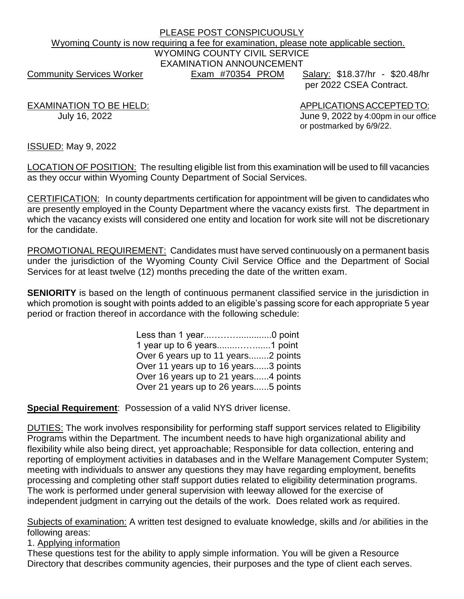# PLEASE POST CONSPICUOUSLY Wyoming County is now requiring a fee for examination, please note applicable section. WYOMING COUNTY CIVIL SERVICE EXAMINATION ANNOUNCEMENT Community Services Worker **Exam #70354 PROM** Salary: \$18.37/hr - \$20.48/hr

per 2022 CSEA Contract.

EXAMINATION TO BE HELD: APPLICATIONS ACCEPTED TO: July 16, 2022 June 9, 2022 by 4:00pm in our office or postmarked by 6/9/22.

ISSUED: May 9, 2022

LOCATION OF POSITION: The resulting eligible list from this examination will be used to fill vacancies as they occur within Wyoming County Department of Social Services.

CERTIFICATION: In county departments certification for appointment will be given to candidates who are presently employed in the County Department where the vacancy exists first. The department in which the vacancy exists will considered one entity and location for work site will not be discretionary for the candidate.

PROMOTIONAL REQUIREMENT: Candidates must have served continuously on a permanent basis under the jurisdiction of the Wyoming County Civil Service Office and the Department of Social Services for at least twelve (12) months preceding the date of the written exam.

**SENIORITY** is based on the length of continuous permanent classified service in the jurisdiction in which promotion is sought with points added to an eligible's passing score for each appropriate 5 year period or fraction thereof in accordance with the following schedule:

> Less than 1 year...……….............0 point 1 year up to 6 years........……......1 point Over 6 years up to 11 years........2 points Over 11 years up to 16 years......3 points Over 16 years up to 21 years......4 points Over 21 years up to 26 years......5 points

**Special Requirement**: Possession of a valid NYS driver license.

DUTIES: The work involves responsibility for performing staff support services related to Eligibility Programs within the Department. The incumbent needs to have high organizational ability and flexibility while also being direct, yet approachable; Responsible for data collection, entering and reporting of employment activities in databases and in the Welfare Management Computer System; meeting with individuals to answer any questions they may have regarding employment, benefits processing and completing other staff support duties related to eligibility determination programs. The work is performed under general supervision with leeway allowed for the exercise of independent judgment in carrying out the details of the work. Does related work as required.

Subjects of examination: A written test designed to evaluate knowledge, skills and /or abilities in the following areas:

1. Applying information

These questions test for the ability to apply simple information. You will be given a Resource Directory that describes community agencies, their purposes and the type of client each serves.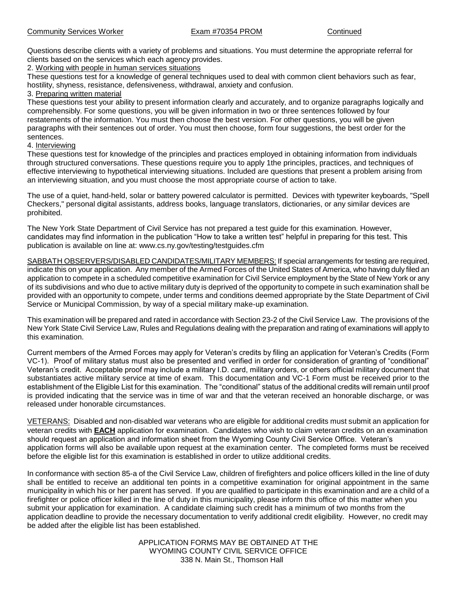Questions describe clients with a variety of problems and situations. You must determine the appropriate referral for clients based on the services which each agency provides.

2. Working with people in human services situations

These questions test for a knowledge of general techniques used to deal with common client behaviors such as fear, hostility, shyness, resistance, defensiveness, withdrawal, anxiety and confusion.

3. Preparing written material

These questions test your ability to present information clearly and accurately, and to organize paragraphs logically and comprehensibly. For some questions, you will be given information in two or three sentences followed by four restatements of the information. You must then choose the best version. For other questions, you will be given paragraphs with their sentences out of order. You must then choose, form four suggestions, the best order for the sentences.

4. Interviewing

These questions test for knowledge of the principles and practices employed in obtaining information from individuals through structured conversations. These questions require you to apply 1the principles, practices, and techniques of effective interviewing to hypothetical interviewing situations. Included are questions that present a problem arising from an interviewing situation, and you must choose the most appropriate course of action to take.

The use of a quiet, hand-held, solar or battery powered calculator is permitted. Devices with typewriter keyboards, "Spell Checkers," personal digital assistants, address books, language translators, dictionaries, or any similar devices are prohibited.

The New York State Department of Civil Service has not prepared a test guide for this examination. However, candidates may find information in the publication "How to take a written test" helpful in preparing for this test. This publication is available on line at: www.cs.ny.gov/testing/testguides.cfm

SABBATH OBSERVERS/DISABLED CANDIDATES/MILITARY MEMBERS: If special arrangements for testing are required, indicate this on your application. Any member of the Armed Forces of the United States of America, who having duly filed an application to compete in a scheduled competitive examination for Civil Service employment by the State of New York or any of its subdivisions and who due to active military duty is deprived of the opportunity to compete in such examination shall be provided with an opportunity to compete, under terms and conditions deemed appropriate by the State Department of Civil Service or Municipal Commission, by way of a special military make-up examination.

This examination will be prepared and rated in accordance with Section 23-2 of the Civil Service Law. The provisions of the New York State Civil Service Law, Rules and Regulations dealing with the preparation and rating of examinations will apply to this examination.

Current members of the Armed Forces may apply for Veteran's credits by filing an application for Veteran's Credits (Form VC-1). Proof of military status must also be presented and verified in order for consideration of granting of "conditional" Veteran's credit. Acceptable proof may include a military I.D. card, military orders, or others official military document that substantiates active military service at time of exam. This documentation and VC-1 Form must be received prior to the establishment of the Eligible List for this examination. The "conditional" status of the additional credits will remain until proof is provided indicating that the service was in time of war and that the veteran received an honorable discharge, or was released under honorable circumstances.

VETERANS: Disabled and non-disabled war veterans who are eligible for additional credits must submit an application for veteran credits with **EACH** application for examination. Candidates who wish to claim veteran credits on an examination should request an application and information sheet from the Wyoming County Civil Service Office. Veteran's application forms will also be available upon request at the examination center. The completed forms must be received before the eligible list for this examination is established in order to utilize additional credits.

In conformance with section 85-a of the Civil Service Law, children of firefighters and police officers killed in the line of duty shall be entitled to receive an additional ten points in a competitive examination for original appointment in the same municipality in which his or her parent has served. If you are qualified to participate in this examination and are a child of a firefighter or police officer killed in the line of duty in this municipality, please inform this office of this matter when you submit your application for examination. A candidate claiming such credit has a minimum of two months from the application deadline to provide the necessary documentation to verify additional credit eligibility. However, no credit may be added after the eligible list has been established.

> APPLICATION FORMS MAY BE OBTAINED AT THE WYOMING COUNTY CIVIL SERVICE OFFICE 338 N. Main St., Thomson Hall